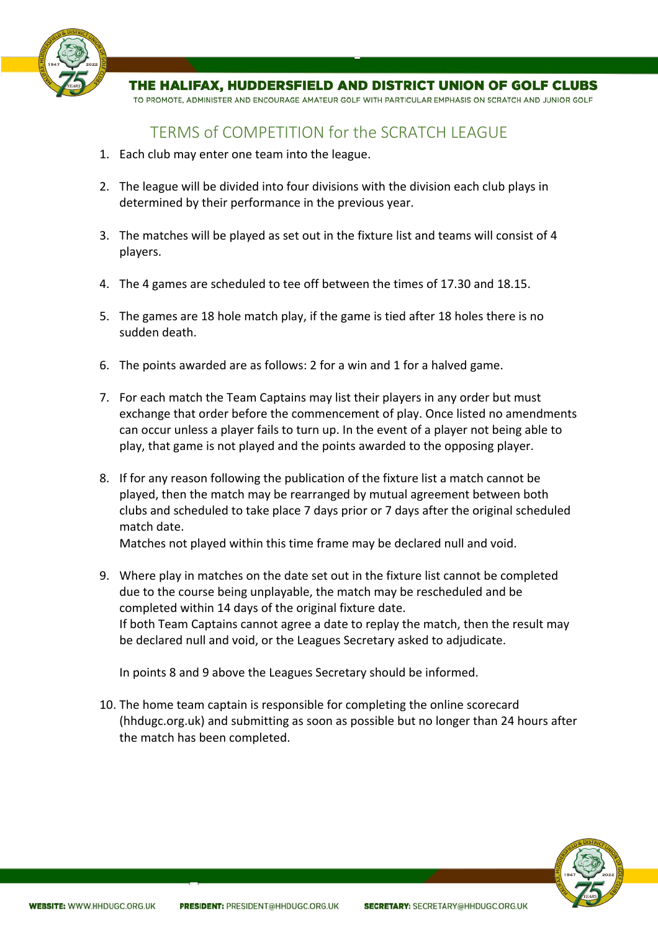

THE HALIFAX. HUDDERSFIELD AND DISTRICT UNION OF GOLF CLUBS

TO PROMOTE, ADMINISTER AND ENCOURAGE AMATEUR GOLF WITH PARTICULAR EMPHASIS ON SCRATCH AND JUNIOR GOLF

## TERMS of COMPETITION for the SCRATCH LEAGUE

- 1. Each club may enter one team into the league.
- 2. The league will be divided into four divisions with the division each club plays in determined by their performance in the previous year.
- 3. The matches will be played as set out in the fixture list and teams will consist of 4 players.
- 4. The 4 games are scheduled to tee off between the times of 17.30 and 18.15.
- 5. The games are 18 hole match play, if the game is tied after 18 holes there is no sudden death.
- 6. The points awarded are as follows: 2 for a win and 1 for a halved game.
- 7. For each match the Team Captains may list their players in any order but must exchange that order before the commencement of play. Once listed no amendments can occur unless a player fails to turn up. In the event of a player not being able to play, that game is not played and the points awarded to the opposing player.
- 8. If for any reason following the publication of the fixture list a match cannot be played, then the match may be rearranged by mutual agreement between both clubs and scheduled to take place 7 days prior or 7 days after the original scheduled match date.

Matches not played within this time frame may be declared null and void.

9. Where play in matches on the date set out in the fixture list cannot be completed due to the course being unplayable, the match may be rescheduled and be completed within 14 days of the original fixture date. If both Team Captains cannot agree a date to replay the match, then the result may be declared null and void, or the Leagues Secretary asked to adjudicate.

In points 8 and 9 above the Leagues Secretary should be informed.

10. The home team captain is responsible for completing the online scorecard (hhdugc.org.uk) and submitting as soon as possible but no longer than 24 hours after the match has been completed.